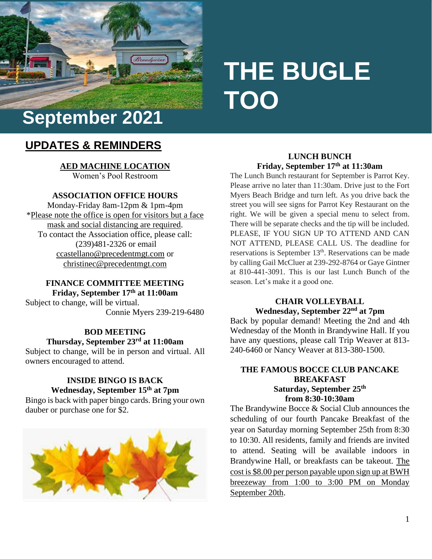

# **THE BUGLE TOO**

# **UPDATES & REMINDERS**

**AED MACHINE LOCATION** Women's Pool Restroom

# **ASSOCIATION OFFICE HOURS**

Monday-Friday 8am-12pm & 1pm-4pm \*Please note the office is open for visitors but a face mask and social distancing are required. To contact the Association office, please call: (239)481-2326 or email [ccastellano@precedentmgt.com](mailto:ccastellano@precedentmgt.com) or christinec@precedentmgt.com

#### **FINANCE COMMITTEE MEETING Friday, September 17th at 11:00am**

Subject to change, will be virtual. Connie Myers 239-219-6480

# **BOD MEETING**

# **Thursday, September 23rd at 11:00am**

Subject to change, will be in person and virtual. All owners encouraged to attend.

# **INSIDE BINGO IS BACK Wednesday, September 15th at 7pm**

Bingo is back with paper bingo cards. Bring your own dauber or purchase one for \$2.



# **LUNCH BUNCH Friday, September 17th at 11:30am**

The Lunch Bunch restaurant for September is Parrot Key. Please arrive no later than 11:30am. Drive just to the Fort Myers Beach Bridge and turn left. As you drive back the street you will see signs for Parrot Key Restaurant on the right. We will be given a special menu to select from. There will be separate checks and the tip will be included. PLEASE, IF YOU SIGN UP TO ATTEND AND CAN NOT ATTEND, PLEASE CALL US. The deadline for reservations is September 13<sup>th</sup>. Reservations can be made by calling Gail McCluer at 239-292-8764 or Gaye Gintner at 810-441-3091. This is our last Lunch Bunch of the season. Let's make it a good one.

#### **CHAIR VOLLEYBALL Wednesday, September 22nd at 7pm**

Back by popular demand! Meeting the 2nd and 4th Wednesday of the Month in Brandywine Hall. If you have any questions, please call Trip Weaver at 813- 240-6460 or Nancy Weaver at 813-380-1500.

# **THE FAMOUS BOCCE CLUB PANCAKE BREAKFAST Saturday, September 25th from 8:30-10:30am**

The Brandywine Bocce & Social Club announces the scheduling of our fourth Pancake Breakfast of the year on Saturday morning September 25th from 8:30 to 10:30. All residents, family and friends are invited to attend. Seating will be available indoors in Brandywine Hall, or breakfasts can be takeout. The cost is \$8.00 per person payable upon sign up at BWH breezeway from 1:00 to 3:00 PM on Monday September 20th.